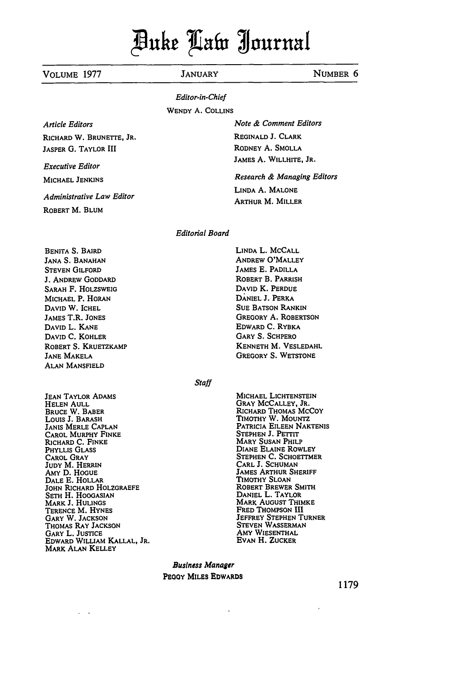# Puhe **ait** juruaf

### VOLUME 1977 JANUARY **NUMBER 6**

### *Editor-in-Chief*

WENDY **A.** COLLINS

*Article Editors* RICHARD W. BRUNETTE, JR. **JASPER G.** TAYLOR **III**

Executive Editor

MICHAEL **JENKINS**

*Administrative Law Editor*

ROBERT M. BLUM

### *Editorial Board*

BENITA S. BAIRD JANA S. BANAHAN STEVEN GILFORD J. ANDREW GODDARD SARAH F. HOLZSWEIG MICHAEL P. HORAN **DAVID** W. ICHEL JAMES T.R. **JONES** DAVID L. **KANE** DAVID C. KOHLER ROBERT S. KRUETZKAMP JANE MAKELA ALAN MANSFIELD

JEAN TAYLOR ADAMS HELEN AULL BRUCE W. BABER Louis J. BARASH **JANIS** MERLE **CAPLAN** CAROL MURPHY **FINKE** RICHARD C. FINKE PHYLLIS GLASS CAROL GRAY **JUDY** M. HERRIN AMY **D.** HOGUE DALE **E.** HOLLAR **JOHN** RICHARD HOLZORAEFE **SETH** H. HOOGASIAN MARK **J. HULINGS** TERENCE M. HYNES GARY W. JACKSON THOMAS RAY **JACKSON** GARY L. JUSTICE EDWARD WILLIAM KALLAL, JR. MARK **ALAN** KELLEY

 $\sim$ 

**MICHAEL LICHTENSTEIN** GRAY MCCALLEY, JR. RICHARD THOMAS MCCOY TIMOTHY W. MoUNTZ PATRICIA **EILEEN NAKTENIS STEPHEN J.** PETrIT MARY **SUSAN** PHILP DIANE **ELAINE** ROWLEY **STEPHEN C.** SCHOETTMER **CARL** J. **SCHUMAN** JAMES ARTHUR SHERIFF TIMOTHY **SLOAN** ROBERT BREWER SMITH **DANIEL** L. TAYLOR MARK AUGUST THIMKE FRED THOMPSON III JEFFREY **STEPHEN** TURNER STEVEN **WASSERMAN** AMY **WIESENTHAL EVAN** H. ZUCKER

*Business Manager* **PEOY** MILES EDWARDS

**1179**

**LINDA** L. MCCALL ANDREW O'MALLEY JAMES **E.** PADILLA ROBERT B. PARRISH **DAVID** K. **PERDUE DANIEL J.** PERKA **SUE BATSON** RANKIN GREGORY A. ROBERTSON EDWARD **C.** RYBKA GARY S. SCHPERO **KENNETH** M. **VESLEDAHL** GREGORY **S. WETSTONE**

*Note & Comment Editors* **REGINALD J.** CLARK RODNEY A. SMOLLA JAMES A. WILLHITE, JR.

*Research & Managing Editors*

LINDA A. MALONE ARTHUR M. MILLER

*Staff*